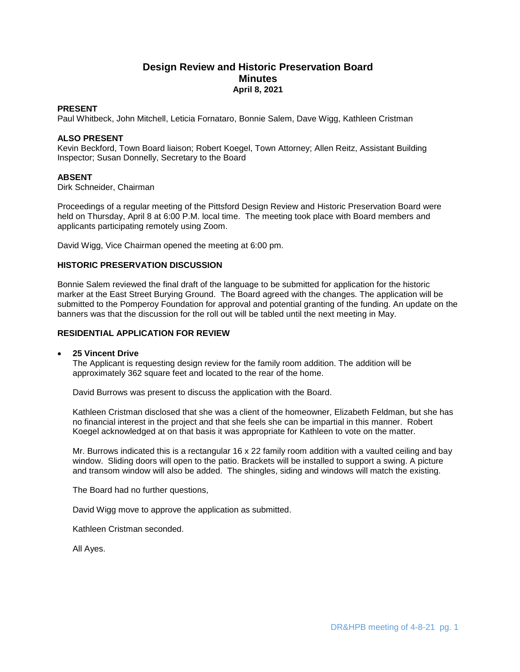# **Design Review and Historic Preservation Board Minutes April 8, 2021**

### **PRESENT**

Paul Whitbeck, John Mitchell, Leticia Fornataro, Bonnie Salem, Dave Wigg, Kathleen Cristman

## **ALSO PRESENT**

Kevin Beckford, Town Board liaison; Robert Koegel, Town Attorney; Allen Reitz, Assistant Building Inspector; Susan Donnelly, Secretary to the Board

# **ABSENT**

Dirk Schneider, Chairman

Proceedings of a regular meeting of the Pittsford Design Review and Historic Preservation Board were held on Thursday, April 8 at 6:00 P.M. local time. The meeting took place with Board members and applicants participating remotely using Zoom.

David Wigg, Vice Chairman opened the meeting at 6:00 pm.

## **HISTORIC PRESERVATION DISCUSSION**

Bonnie Salem reviewed the final draft of the language to be submitted for application for the historic marker at the East Street Burying Ground. The Board agreed with the changes. The application will be submitted to the Pomperoy Foundation for approval and potential granting of the funding. An update on the banners was that the discussion for the roll out will be tabled until the next meeting in May.

## **RESIDENTIAL APPLICATION FOR REVIEW**

### **25 Vincent Drive**

The Applicant is requesting design review for the family room addition. The addition will be approximately 362 square feet and located to the rear of the home.

David Burrows was present to discuss the application with the Board.

Kathleen Cristman disclosed that she was a client of the homeowner, Elizabeth Feldman, but she has no financial interest in the project and that she feels she can be impartial in this manner. Robert Koegel acknowledged at on that basis it was appropriate for Kathleen to vote on the matter.

Mr. Burrows indicated this is a rectangular 16 x 22 family room addition with a vaulted ceiling and bay window. Sliding doors will open to the patio. Brackets will be installed to support a swing. A picture and transom window will also be added. The shingles, siding and windows will match the existing.

The Board had no further questions,

David Wigg move to approve the application as submitted.

Kathleen Cristman seconded.

All Ayes.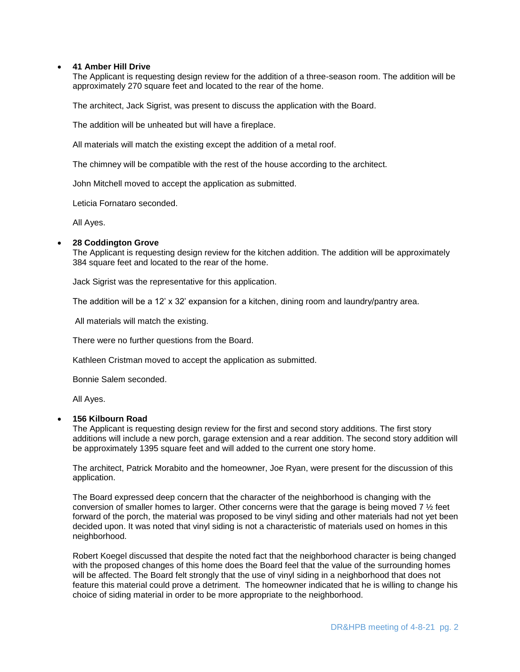# **41 Amber Hill Drive**

The Applicant is requesting design review for the addition of a three-season room. The addition will be approximately 270 square feet and located to the rear of the home.

The architect, Jack Sigrist, was present to discuss the application with the Board.

The addition will be unheated but will have a fireplace.

All materials will match the existing except the addition of a metal roof.

The chimney will be compatible with the rest of the house according to the architect.

John Mitchell moved to accept the application as submitted.

Leticia Fornataro seconded.

All Ayes.

### **28 Coddington Grove**

The Applicant is requesting design review for the kitchen addition. The addition will be approximately 384 square feet and located to the rear of the home.

Jack Sigrist was the representative for this application.

The addition will be a 12' x 32' expansion for a kitchen, dining room and laundry/pantry area.

All materials will match the existing.

There were no further questions from the Board.

Kathleen Cristman moved to accept the application as submitted.

Bonnie Salem seconded.

All Ayes.

#### **156 Kilbourn Road**

The Applicant is requesting design review for the first and second story additions. The first story additions will include a new porch, garage extension and a rear addition. The second story addition will be approximately 1395 square feet and will added to the current one story home.

The architect, Patrick Morabito and the homeowner, Joe Ryan, were present for the discussion of this application.

The Board expressed deep concern that the character of the neighborhood is changing with the conversion of smaller homes to larger. Other concerns were that the garage is being moved 7 ½ feet forward of the porch, the material was proposed to be vinyl siding and other materials had not yet been decided upon. It was noted that vinyl siding is not a characteristic of materials used on homes in this neighborhood.

Robert Koegel discussed that despite the noted fact that the neighborhood character is being changed with the proposed changes of this home does the Board feel that the value of the surrounding homes will be affected. The Board felt strongly that the use of vinyl siding in a neighborhood that does not feature this material could prove a detriment. The homeowner indicated that he is willing to change his choice of siding material in order to be more appropriate to the neighborhood.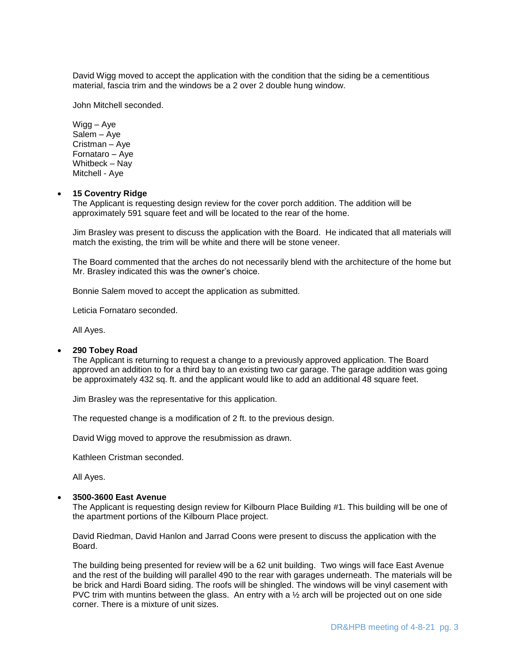David Wigg moved to accept the application with the condition that the siding be a cementitious material, fascia trim and the windows be a 2 over 2 double hung window.

John Mitchell seconded.

Wigg – Aye Salem – Aye Cristman – Aye Fornataro – Aye Whitbeck – Nay Mitchell - Aye

### **15 Coventry Ridge**

The Applicant is requesting design review for the cover porch addition. The addition will be approximately 591 square feet and will be located to the rear of the home.

Jim Brasley was present to discuss the application with the Board. He indicated that all materials will match the existing, the trim will be white and there will be stone veneer.

The Board commented that the arches do not necessarily blend with the architecture of the home but Mr. Brasley indicated this was the owner's choice.

Bonnie Salem moved to accept the application as submitted.

Leticia Fornataro seconded.

All Ayes.

#### **290 Tobey Road**

The Applicant is returning to request a change to a previously approved application. The Board approved an addition to for a third bay to an existing two car garage. The garage addition was going be approximately 432 sq. ft. and the applicant would like to add an additional 48 square feet.

Jim Brasley was the representative for this application.

The requested change is a modification of 2 ft. to the previous design.

David Wigg moved to approve the resubmission as drawn.

Kathleen Cristman seconded.

All Ayes.

#### **3500-3600 East Avenue**

The Applicant is requesting design review for Kilbourn Place Building #1. This building will be one of the apartment portions of the Kilbourn Place project.

David Riedman, David Hanlon and Jarrad Coons were present to discuss the application with the Board.

The building being presented for review will be a 62 unit building. Two wings will face East Avenue and the rest of the building will parallel 490 to the rear with garages underneath. The materials will be be brick and Hardi Board siding. The roofs will be shingled. The windows will be vinyl casement with PVC trim with muntins between the glass. An entry with a  $\frac{1}{2}$  arch will be projected out on one side corner. There is a mixture of unit sizes.